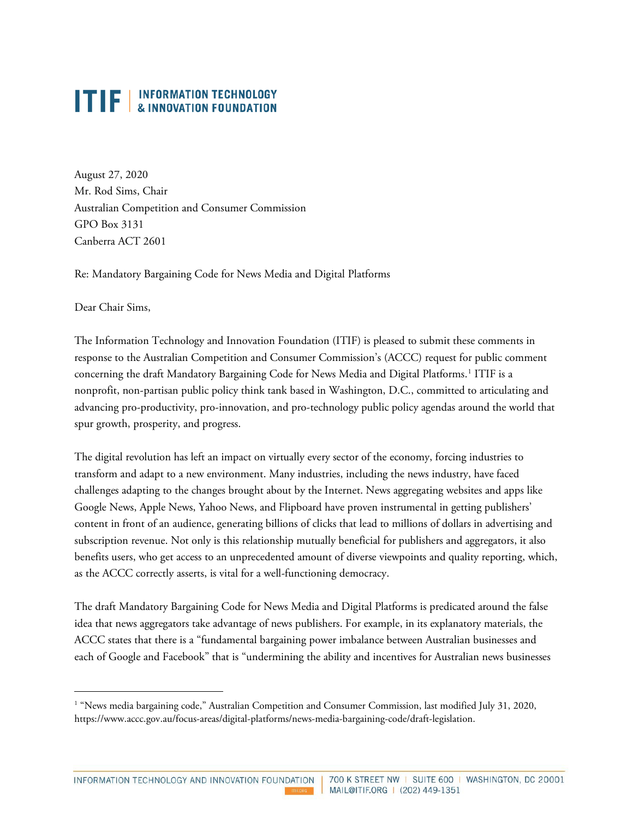August 27, 2020 Mr. Rod Sims, Chair Australian Competition and Consumer Commission GPO Box 3131 Canberra ACT 2601

Re: Mandatory Bargaining Code for News Media and Digital Platforms

Dear Chair Sims,

The Information Technology and Innovation Foundation (ITIF) is pleased to submit these comments in response to the Australian Competition and Consumer Commission's (ACCC) request for public comment concerning the draft Mandatory Bargaining Code for News Media and Digital Platforms.[1](#page-0-0) ITIF is a nonprofit, non-partisan public policy think tank based in Washington, D.C., committed to articulating and advancing pro-productivity, pro-innovation, and pro-technology public policy agendas around the world that spur growth, prosperity, and progress.

The digital revolution has left an impact on virtually every sector of the economy, forcing industries to transform and adapt to a new environment. Many industries, including the news industry, have faced challenges adapting to the changes brought about by the Internet. News aggregating websites and apps like Google News, Apple News, Yahoo News, and Flipboard have proven instrumental in getting publishers' content in front of an audience, generating billions of clicks that lead to millions of dollars in advertising and subscription revenue. Not only is this relationship mutually beneficial for publishers and aggregators, it also benefits users, who get access to an unprecedented amount of diverse viewpoints and quality reporting, which, as the ACCC correctly asserts, is vital for a well-functioning democracy.

The draft Mandatory Bargaining Code for News Media and Digital Platforms is predicated around the false idea that news aggregators take advantage of news publishers. For example, in its explanatory materials, the ACCC states that there is a "fundamental bargaining power imbalance between Australian businesses and each of Google and Facebook" that is "undermining the ability and incentives for Australian news businesses

<span id="page-0-0"></span><sup>&</sup>lt;sup>1</sup> "News media bargaining code," Australian Competition and Consumer Commission, last modified July 31, 2020, [https://www.accc.gov.au/focus-areas/digital-platforms/news-media-bargaining-code/draft-legislation.](https://www.accc.gov.au/focus-areas/digital-platforms/news-media-bargaining-code/draft-legislation)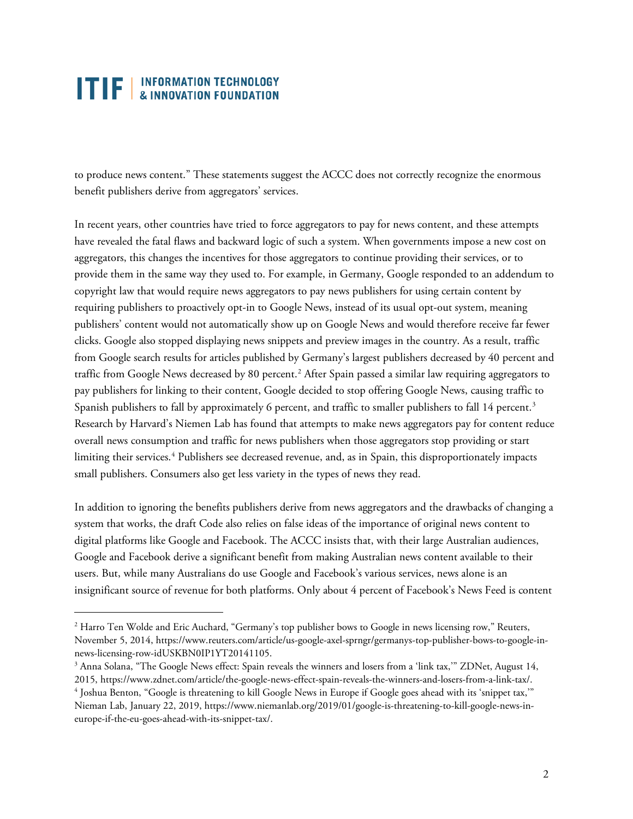to produce news content." These statements suggest the ACCC does not correctly recognize the enormous benefit publishers derive from aggregators' services.

In recent years, other countries have tried to force aggregators to pay for news content, and these attempts have revealed the fatal flaws and backward logic of such a system. When governments impose a new cost on aggregators, this changes the incentives for those aggregators to continue providing their services, or to provide them in the same way they used to. For example, in Germany, Google responded to an addendum to copyright law that would require news aggregators to pay news publishers for using certain content by requiring publishers to proactively opt-in to Google News, instead of its usual opt-out system, meaning publishers' content would not automatically show up on Google News and would therefore receive far fewer clicks. Google also stopped displaying news snippets and preview images in the country. As a result, traffic from Google search results for articles published by Germany's largest publishers decreased by 40 percent and traffic from Google News decreased by 80 percent.<sup>[2](#page-1-0)</sup> After Spain passed a similar law requiring aggregators to pay publishers for linking to their content, Google decided to stop offering Google News, causing traffic to Spanish publishers to fall by approximately 6 percent, and traffic to smaller publishers to fall 14 percent.<sup>[3](#page-1-1)</sup> Research by Harvard's Niemen Lab has found that attempts to make news aggregators pay for content reduce overall news consumption and traffic for news publishers when those aggregators stop providing or start limiting their services.[4](#page-1-2) Publishers see decreased revenue, and, as in Spain, this disproportionately impacts small publishers. Consumers also get less variety in the types of news they read.

In addition to ignoring the benefits publishers derive from news aggregators and the drawbacks of changing a system that works, the draft Code also relies on false ideas of the importance of original news content to digital platforms like Google and Facebook. The ACCC insists that, with their large Australian audiences, Google and Facebook derive a significant benefit from making Australian news content available to their users. But, while many Australians do use Google and Facebook's various services, news alone is an insignificant source of revenue for both platforms. Only about 4 percent of Facebook's News Feed is content

<span id="page-1-0"></span><sup>&</sup>lt;sup>2</sup> Harro Ten Wolde and Eric Auchard, "Germany's top publisher bows to Google in news licensing row," Reuters, November 5, 2014[, https://www.reuters.com/article/us-google-axel-sprngr/germanys-top-publisher-bows-to-google-in](https://www.reuters.com/article/us-google-axel-sprngr/germanys-top-publisher-bows-to-google-in-news-licensing-row-idUSKBN0IP1YT20141105)[news-licensing-row-idUSKBN0IP1YT20141105.](https://www.reuters.com/article/us-google-axel-sprngr/germanys-top-publisher-bows-to-google-in-news-licensing-row-idUSKBN0IP1YT20141105)

<span id="page-1-1"></span><sup>&</sup>lt;sup>3</sup> Anna Solana, "The Google News effect: Spain reveals the winners and losers from a 'link tax,'" ZDNet, August 14, 2015, [https://www.zdnet.com/article/the-google-news-effect-spain-reveals-the-winners-and-losers-from-a-link-tax/.](https://www.zdnet.com/article/the-google-news-effect-spain-reveals-the-winners-and-losers-from-a-link-tax/)

<span id="page-1-2"></span><sup>4</sup> Joshua Benton, "Google is threatening to kill Google News in Europe if Google goes ahead with its 'snippet tax,'" Nieman Lab, January 22, 2019[, https://www.niemanlab.org/2019/01/google-is-threatening-to-kill-google-news-in](https://www.niemanlab.org/2019/01/google-is-threatening-to-kill-google-news-in-europe-if-the-eu-goes-ahead-with-its-snippet-tax/)[europe-if-the-eu-goes-ahead-with-its-snippet-tax/.](https://www.niemanlab.org/2019/01/google-is-threatening-to-kill-google-news-in-europe-if-the-eu-goes-ahead-with-its-snippet-tax/)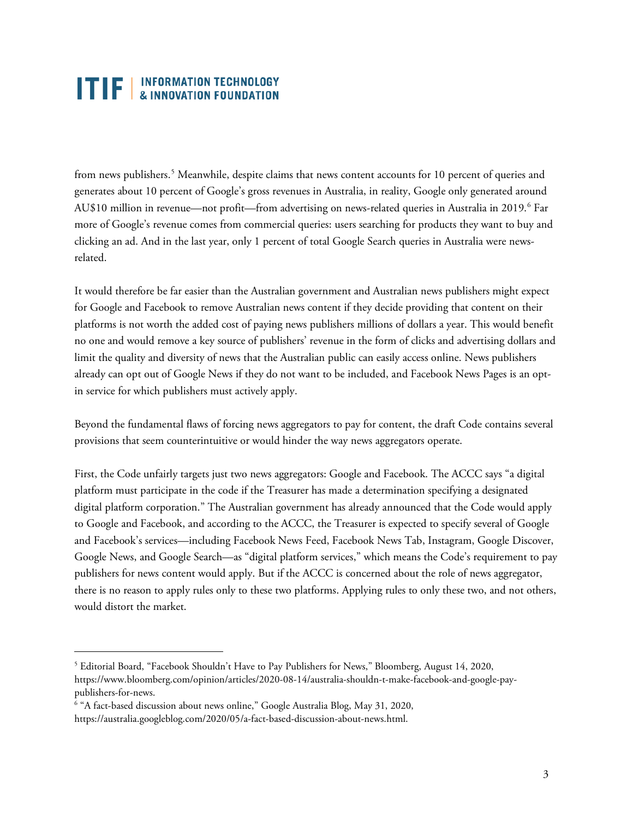from news publishers.<sup>[5](#page-2-0)</sup> Meanwhile, despite claims that news content accounts for 10 percent of queries and generates about 10 percent of Google's gross revenues in Australia, in reality, Google only generated around AU\$10 million in revenue—not profit—from advertising on news-related queries in Australia in 2019.<sup>[6](#page-2-1)</sup> Far more of Google's revenue comes from commercial queries: users searching for products they want to buy and clicking an ad. And in the last year, only 1 percent of total Google Search queries in Australia were newsrelated.

It would therefore be far easier than the Australian government and Australian news publishers might expect for Google and Facebook to remove Australian news content if they decide providing that content on their platforms is not worth the added cost of paying news publishers millions of dollars a year. This would benefit no one and would remove a key source of publishers' revenue in the form of clicks and advertising dollars and limit the quality and diversity of news that the Australian public can easily access online. News publishers already can opt out of Google News if they do not want to be included, and Facebook News Pages is an optin service for which publishers must actively apply.

Beyond the fundamental flaws of forcing news aggregators to pay for content, the draft Code contains several provisions that seem counterintuitive or would hinder the way news aggregators operate.

First, the Code unfairly targets just two news aggregators: Google and Facebook. The ACCC says "a digital platform must participate in the code if the Treasurer has made a determination specifying a designated digital platform corporation." The Australian government has already announced that the Code would apply to Google and Facebook, and according to the ACCC, the Treasurer is expected to specify several of Google and Facebook's services—including Facebook News Feed, Facebook News Tab, Instagram, Google Discover, Google News, and Google Search—as "digital platform services," which means the Code's requirement to pay publishers for news content would apply. But if the ACCC is concerned about the role of news aggregator, there is no reason to apply rules only to these two platforms. Applying rules to only these two, and not others, would distort the market.

<span id="page-2-0"></span><sup>5</sup> Editorial Board, "Facebook Shouldn't Have to Pay Publishers for News," Bloomberg, August 14, 2020, [https://www.bloomberg.com/opinion/articles/2020-08-14/australia-shouldn-t-make-facebook-and-google-pay](https://www.bloomberg.com/opinion/articles/2020-08-14/australia-shouldn-t-make-facebook-and-google-pay-publishers-for-news)[publishers-for-news.](https://www.bloomberg.com/opinion/articles/2020-08-14/australia-shouldn-t-make-facebook-and-google-pay-publishers-for-news)

<span id="page-2-1"></span><sup>6</sup> "A fact-based discussion about news online," Google Australia Blog, May 31, 2020,

[https://australia.googleblog.com/2020/05/a-fact-based-discussion-about-news.html.](https://australia.googleblog.com/2020/05/a-fact-based-discussion-about-news.html)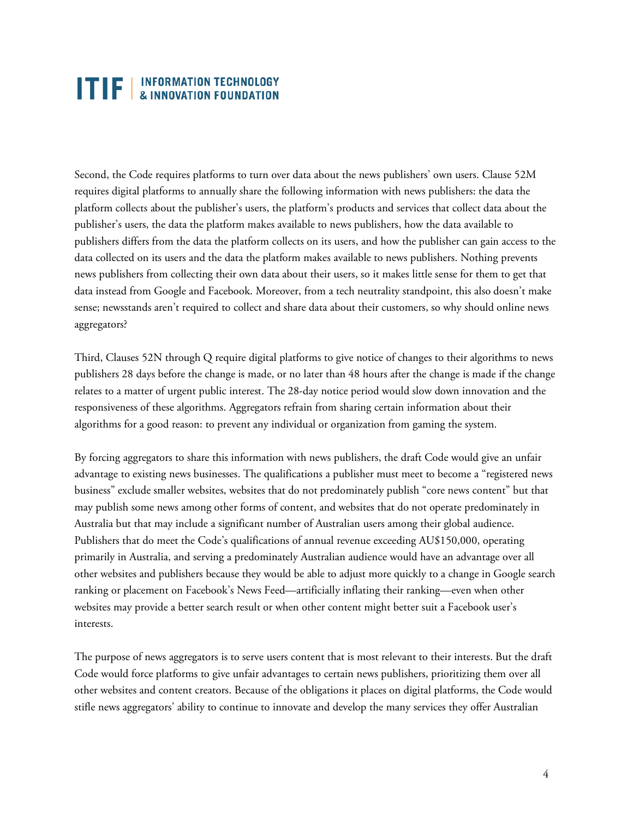Second, the Code requires platforms to turn over data about the news publishers' own users. Clause 52M requires digital platforms to annually share the following information with news publishers: the data the platform collects about the publisher's users, the platform's products and services that collect data about the publisher's users, the data the platform makes available to news publishers, how the data available to publishers differs from the data the platform collects on its users, and how the publisher can gain access to the data collected on its users and the data the platform makes available to news publishers. Nothing prevents news publishers from collecting their own data about their users, so it makes little sense for them to get that data instead from Google and Facebook. Moreover, from a tech neutrality standpoint, this also doesn't make sense; newsstands aren't required to collect and share data about their customers, so why should online news aggregators?

Third, Clauses 52N through Q require digital platforms to give notice of changes to their algorithms to news publishers 28 days before the change is made, or no later than 48 hours after the change is made if the change relates to a matter of urgent public interest. The 28-day notice period would slow down innovation and the responsiveness of these algorithms. Aggregators refrain from sharing certain information about their algorithms for a good reason: to prevent any individual or organization from gaming the system.

By forcing aggregators to share this information with news publishers, the draft Code would give an unfair advantage to existing news businesses. The qualifications a publisher must meet to become a "registered news business" exclude smaller websites, websites that do not predominately publish "core news content" but that may publish some news among other forms of content, and websites that do not operate predominately in Australia but that may include a significant number of Australian users among their global audience. Publishers that do meet the Code's qualifications of annual revenue exceeding AU\$150,000, operating primarily in Australia, and serving a predominately Australian audience would have an advantage over all other websites and publishers because they would be able to adjust more quickly to a change in Google search ranking or placement on Facebook's News Feed—artificially inflating their ranking—even when other websites may provide a better search result or when other content might better suit a Facebook user's interests.

The purpose of news aggregators is to serve users content that is most relevant to their interests. But the draft Code would force platforms to give unfair advantages to certain news publishers, prioritizing them over all other websites and content creators. Because of the obligations it places on digital platforms, the Code would stifle news aggregators' ability to continue to innovate and develop the many services they offer Australian